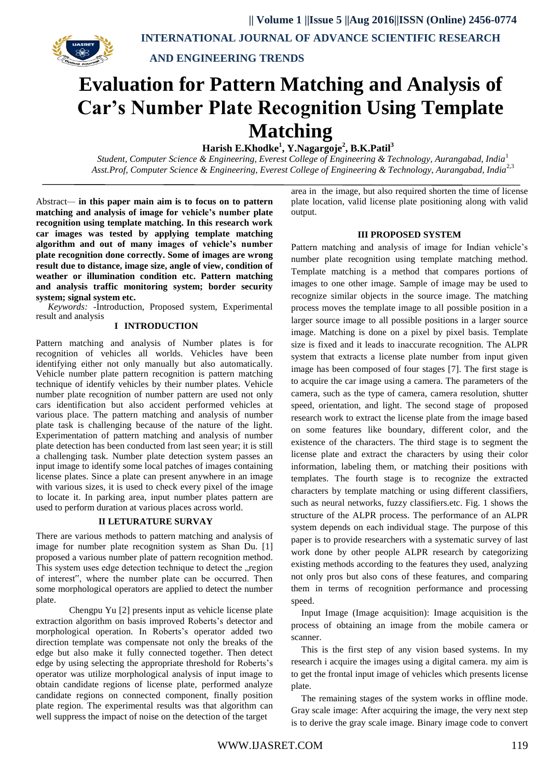

**AND ENGINEERING TRENDS**

# **Evaluation for Pattern Matching and Analysis of Car's Number Plate Recognition Using Template Matching**

**Harish E.Khodke<sup>1</sup> , Y.Nagargoje 2 , B.K.Patil 3**

*Student, Computer Science & Engineering, Everest College of Engineering & Technology, Aurangabad, India*<sup>1</sup> *Asst.Prof, Computer Science & Engineering, Everest College of Engineering & Technology, Aurangabad, India*2,3

Abstract*—* **in this paper main aim is to focus on to pattern matching and analysis of image for vehicle's number plate recognition using template matching. In this research work car images was tested by applying template matching algorithm and out of many images of vehicle's number plate recognition done correctly. Some of images are wrong result due to distance, image size, angle of view, condition of weather or illumination condition etc. Pattern matching and analysis traffic monitoring system; border security system; signal system etc.**

*Keywords: -*Introduction, Proposed system, Experimental result and analysis

### **I INTRODUCTION**

Pattern matching and analysis of Number plates is for recognition of vehicles all worlds. Vehicles have been identifying either not only manually but also automatically. Vehicle number plate pattern recognition is pattern matching technique of identify vehicles by their number plates. Vehicle number plate recognition of number pattern are used not only cars identification but also accident performed vehicles at various place. The pattern matching and analysis of number plate task is challenging because of the nature of the light. Experimentation of pattern matching and analysis of number plate detection has been conducted from last seen year; it is still a challenging task. Number plate detection system passes an input image to identify some local patches of images containing license plates. Since a plate can present anywhere in an image with various sizes, it is used to check every pixel of the image to locate it. In parking area, input number plates pattern are used to perform duration at various places across world.

## **II LETURATURE SURVAY**

There are various methods to pattern matching and analysis of image for number plate recognition system as Shan Du. [1] proposed a various number plate of pattern recognition method. This system uses edge detection technique to detect the region of interest", where the number plate can be occurred. Then some morphological operators are applied to detect the number plate.

Chengpu Yu [2] presents input as vehicle license plate extraction algorithm on basis improved Roberts's detector and morphological operation. In Roberts's operator added two direction template was compensate not only the breaks of the edge but also make it fully connected together. Then detect edge by using selecting the appropriate threshold for Roberts's operator was utilize morphological analysis of input image to obtain candidate regions of license plate, performed analyze candidate regions on connected component, finally position plate region. The experimental results was that algorithm can well suppress the impact of noise on the detection of the target

area in the image, but also required shorten the time of license plate location, valid license plate positioning along with valid output.

#### **III PROPOSED SYSTEM**

Pattern matching and analysis of image for Indian vehicle's number plate recognition using template matching method. Template matching is a method that compares portions of images to one other image. Sample of image may be used to recognize similar objects in the source image. The matching process moves the template image to all possible position in a larger source image to all possible positions in a larger source image. Matching is done on a pixel by pixel basis. Template size is fixed and it leads to inaccurate recognition. The ALPR system that extracts a license plate number from input given image has been composed of four stages [7]. The first stage is to acquire the car image using a camera. The parameters of the camera, such as the type of camera, camera resolution, shutter speed, orientation, and light. The second stage of proposed research work to extract the license plate from the image based on some features like boundary, different color, and the existence of the characters. The third stage is to segment the license plate and extract the characters by using their color information, labeling them, or matching their positions with templates. The fourth stage is to recognize the extracted characters by template matching or using different classifiers, such as neural networks, fuzzy classifiers.etc. Fig. 1 shows the structure of the ALPR process. The performance of an ALPR system depends on each individual stage. The purpose of this paper is to provide researchers with a systematic survey of last work done by other people ALPR research by categorizing existing methods according to the features they used, analyzing not only pros but also cons of these features, and comparing them in terms of recognition performance and processing speed.

Input Image (Image acquisition): Image acquisition is the process of obtaining an image from the mobile camera or scanner.

This is the first step of any vision based systems. In my research i acquire the images using a digital camera. my aim is to get the frontal input image of vehicles which presents license plate.

The remaining stages of the system works in offline mode. Gray scale image: After acquiring the image, the very next step is to derive the gray scale image. Binary image code to convert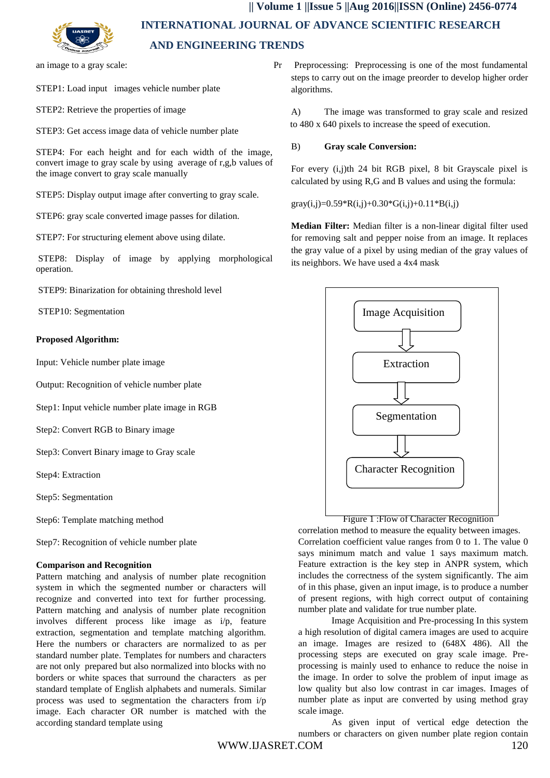

an image to a gray scale:

STEP1: Load input images vehicle number plate

STEP2: Retrieve the properties of image

STEP3: Get access image data of vehicle number plate

STEP4: For each height and for each width of the image, convert image to gray scale by using average of r,g,b values of the image convert to gray scale manually

STEP5: Display output image after converting to gray scale.

STEP6: gray scale converted image passes for dilation.

STEP7: For structuring element above using dilate.

STEP8: Display of image by applying morphological operation.

STEP9: Binarization for obtaining threshold level

STEP10: Segmentation

#### **Proposed Algorithm:**

Input: Vehicle number plate image

Output: Recognition of vehicle number plate

Step1: Input vehicle number plate image in RGB

Step2: Convert RGB to Binary image

Step3: Convert Binary image to Gray scale

Step4: Extraction

Step5: Segmentation

Step6: Template matching method

Step7: Recognition of vehicle number plate

#### **Comparison and Recognition**

Pattern matching and analysis of number plate recognition system in which the segmented number or characters will recognize and converted into text for further processing. Pattern matching and analysis of number plate recognition involves different process like image as i/p, feature extraction, segmentation and template matching algorithm. Here the numbers or characters are normalized to as per standard number plate. Templates for numbers and characters are not only prepared but also normalized into blocks with no borders or white spaces that surround the characters as per standard template of English alphabets and numerals. Similar process was used to segmentation the characters from i/p image. Each character OR number is matched with the according standard template using

Pr Preprocessing: Preprocessing is one of the most fundamental steps to carry out on the image preorder to develop higher order algorithms.

A) The image was transformed to gray scale and resized to 480 x 640 pixels to increase the speed of execution.

#### B) **Gray scale Conversion:**

For every (i,j)th 24 bit RGB pixel, 8 bit Grayscale pixel is calculated by using R,G and B values and using the formula:

gray(i,j)=0.59\*R(i,j)+0.30\*G(i,j)+0.11\*B(i,j)

**Median Filter:** Median filter is a non-linear digital filter used for removing salt and pepper noise from an image. It replaces the gray value of a pixel by using median of the gray values of its neighbors. We have used a 4x4 mask



# Figure 1 :Flow of Character Recognition

correlation method to measure the equality between images. Correlation coefficient value ranges from 0 to 1. The value 0 says minimum match and value 1 says maximum match. Feature extraction is the key step in ANPR system, which includes the correctness of the system significantly. The aim of in this phase, given an input image, is to produce a number of present regions, with high correct output of containing number plate and validate for true number plate.

Image Acquisition and Pre-processing In this system a high resolution of digital camera images are used to acquire an image. Images are resized to (648X 486). All the processing steps are executed on gray scale image. Preprocessing is mainly used to enhance to reduce the noise in the image. In order to solve the problem of input image as low quality but also low contrast in car images. Images of number plate as input are converted by using method gray scale image.

As given input of vertical edge detection the numbers or characters on given number plate region contain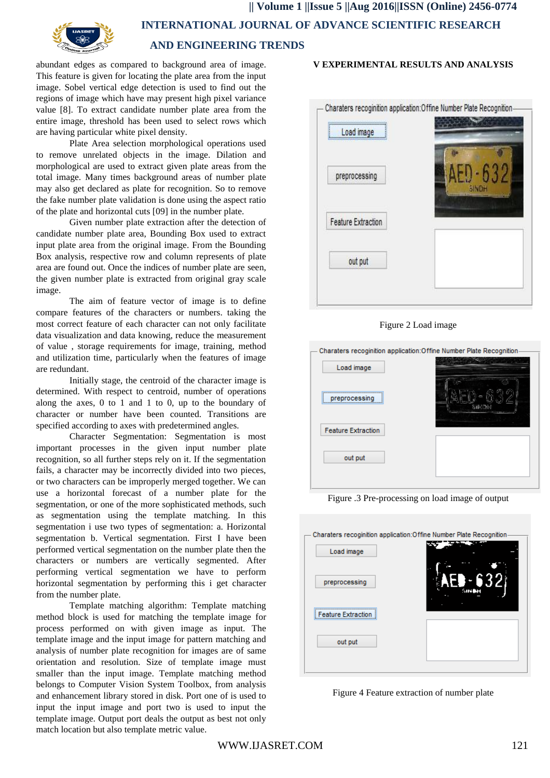

abundant edges as compared to background area of image. This feature is given for locating the plate area from the input image. Sobel vertical edge detection is used to find out the regions of image which have may present high pixel variance value [8]. To extract candidate number plate area from the entire image, threshold has been used to select rows which are having particular white pixel density.

Plate Area selection morphological operations used to remove unrelated objects in the image. Dilation and morphological are used to extract given plate areas from the total image. Many times background areas of number plate may also get declared as plate for recognition. So to remove the fake number plate validation is done using the aspect ratio of the plate and horizontal cuts [09] in the number plate.

Given number plate extraction after the detection of candidate number plate area, Bounding Box used to extract input plate area from the original image. From the Bounding Box analysis, respective row and column represents of plate area are found out. Once the indices of number plate are seen, the given number plate is extracted from original gray scale image.

The aim of feature vector of image is to define compare features of the characters or numbers. taking the most correct feature of each character can not only facilitate data visualization and data knowing, reduce the measurement of value , storage requirements for image, training, method and utilization time, particularly when the features of image are redundant.

Initially stage, the centroid of the character image is determined. With respect to centroid, number of operations along the axes, 0 to 1 and 1 to 0, up to the boundary of character or number have been counted. Transitions are specified according to axes with predetermined angles.

Character Segmentation: Segmentation is most important processes in the given input number plate recognition, so all further steps rely on it. If the segmentation fails, a character may be incorrectly divided into two pieces, or two characters can be improperly merged together. We can use a horizontal forecast of a number plate for the segmentation, or one of the more sophisticated methods, such as segmentation using the template matching. In this segmentation i use two types of segmentation: a. Horizontal segmentation b. Vertical segmentation. First I have been performed vertical segmentation on the number plate then the characters or numbers are vertically segmented. After performing vertical segmentation we have to perform horizontal segmentation by performing this i get character from the number plate.

Template matching algorithm: Template matching method block is used for matching the template image for process performed on with given image as input. The template image and the input image for pattern matching and analysis of number plate recognition for images are of same orientation and resolution. Size of template image must smaller than the input image. Template matching method belongs to Computer Vision System Toolbox, from analysis and enhancement library stored in disk. Port one of is used to input the input image and port two is used to input the template image. Output port deals the output as best not only match location but also template metric value.

# **V EXPERIMENTAL RESULTS AND ANALYSIS**



Figure 2 Load image



Figure .3 Pre-processing on load image of output



Figure 4 Feature extraction of number plate